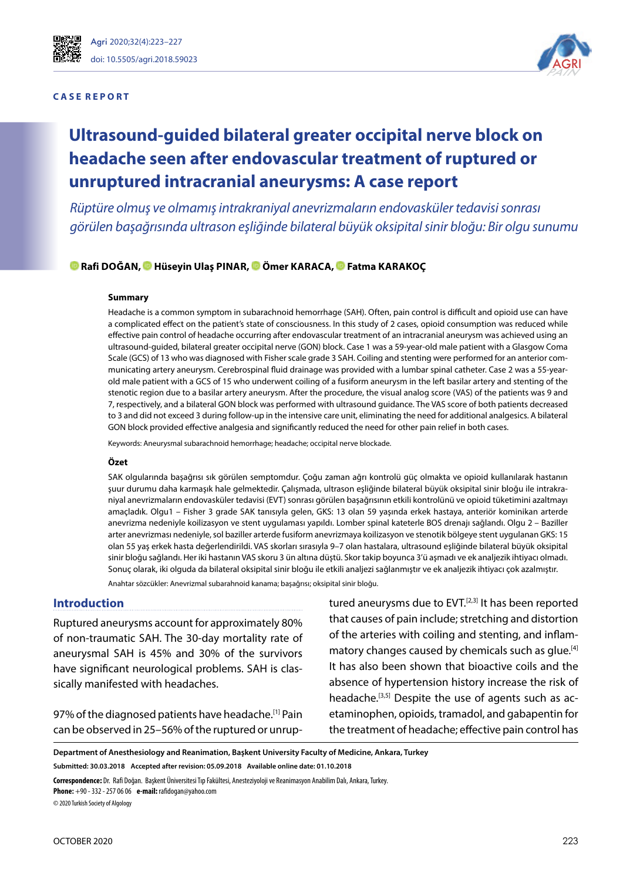

#### **C A S E R E P O R T**



# **Ultrasound-guided bilateral greater occipital nerve block on headache seen after endovascular treatment of ruptured or unruptured intracranial aneurysms: A case report**

*Rüptüre olmuş ve olmamış intrakraniyal anevrizmaların endovasküler tedavisi sonrası görülen başağrısında ultrason eşliğinde bilateral büyük oksipital sinir bloğu: Bir olgu sunumu*

### **Rafi DOĞAN,Hüseyin Ulaş PINAR[, Ö](https://orcid.org/0000-0003-1933-2075)mer KARACA[, F](https://orcid.org/0000-0002-5904-3932)atma KARAKOÇ**

#### **Summary**

Headache is a common symptom in subarachnoid hemorrhage (SAH). Often, pain control is difficult and opioid use can have a complicated effect on the patient's state of consciousness. In this study of 2 cases, opioid consumption was reduced while effective pain control of headache occurring after endovascular treatment of an intracranial aneurysm was achieved using an ultrasound-guided, bilateral greater occipital nerve (GON) block. Case 1 was a 59-year-old male patient with a Glasgow Coma Scale (GCS) of 13 who was diagnosed with Fisher scale grade 3 SAH. Coiling and stenting were performed for an anterior communicating artery aneurysm. Cerebrospinal fluid drainage was provided with a lumbar spinal catheter. Case 2 was a 55-yearold male patient with a GCS of 15 who underwent coiling of a fusiform aneurysm in the left basilar artery and stenting of the stenotic region due to a basilar artery aneurysm. After the procedure, the visual analog score (VAS) of the patients was 9 and 7, respectively, and a bilateral GON block was performed with ultrasound guidance. The VAS score of both patients decreased to 3 and did not exceed 3 during follow-up in the intensive care unit, eliminating the need for additional analgesics. A bilateral GON block provided effective analgesia and significantly reduced the need for other pain relief in both cases.

Keywords: Aneurysmal subarachnoid hemorrhage; headache; occipital nerve blockade.

#### **Özet**

SAK olgularında başağrısı sık görülen semptomdur. Çoğu zaman ağrı kontrolü güç olmakta ve opioid kullanılarak hastanın şuur durumu daha karmaşık hale gelmektedir. Çalışmada, ultrason eşliğinde bilateral büyük oksipital sinir bloğu ile intrakraniyal anevrizmaların endovasküler tedavisi (EVT) sonrası görülen başağrısının etkili kontrolünü ve opioid tüketimini azaltmayı amaçladık. Olgu1 – Fisher 3 grade SAK tanısıyla gelen, GKS: 13 olan 59 yaşında erkek hastaya, anteriör kominikan arterde anevrizma nedeniyle koilizasyon ve stent uygulaması yapıldı. Lomber spinal kateterle BOS drenajı sağlandı. Olgu 2 – Baziller arter anevrizması nedeniyle, sol baziller arterde fusiform anevrizmaya koilizasyon ve stenotik bölgeye stent uygulanan GKS: 15 olan 55 yaş erkek hasta değerlendirildi. VAS skorları sırasıyla 9–7 olan hastalara, ultrasound eşliğinde bilateral büyük oksipital sinir bloğu sağlandı. Her iki hastanın VAS skoru 3 ün altına düştü. Skor takip boyunca 3'ü aşmadı ve ek analjezik ihtiyacı olmadı. Sonuç olarak, iki olguda da bilateral oksipital sinir bloğu ile etkili analjezi sağlanmıştır ve ek analjezik ihtiyacı çok azalmıştır.

Anahtar sözcükler: Anevrizmal subarahnoid kanama; başağrısı; oksipital sinir bloğu.

## **Introduction**

Ruptured aneurysms account for approximately 80% of non-traumatic SAH. The 30-day mortality rate of aneurysmal SAH is 45% and 30% of the survivors have significant neurological problems. SAH is classically manifested with headaches.

97% of the diagnosed patients have headache.<sup>[1]</sup> Pain can be observed in 25–56% of the ruptured or unruptured aneurysms due to EVT.<sup>[2,3]</sup> It has been reported that causes of pain include; stretching and distortion of the arteries with coiling and stenting, and inflammatory changes caused by chemicals such as glue.[4] It has also been shown that bioactive coils and the absence of hypertension history increase the risk of headache.<sup>[3,5]</sup> Despite the use of agents such as acetaminophen, opioids, tramadol, and gabapentin for the treatment of headache; effective pain control has

**Department of Anesthesiology and Reanimation, Başkent University Faculty of Medicine, Ankara, Turkey Submitted: 30.03.2018 Accepted after revision: 05.09.2018 Available online date: 01.10.2018**

**Correspondence:** Dr. Rafi Doğan. Başkent Üniversitesi Tıp Fakültesi, Anesteziyoloji ve Reanimasyon Anabilim Dalı, Ankara, Turkey.

**Phone:** +90 - 332 - 257 06 06 **e-mail:** rafidogan@yahoo.com

© 2020 Turkish Society of Algology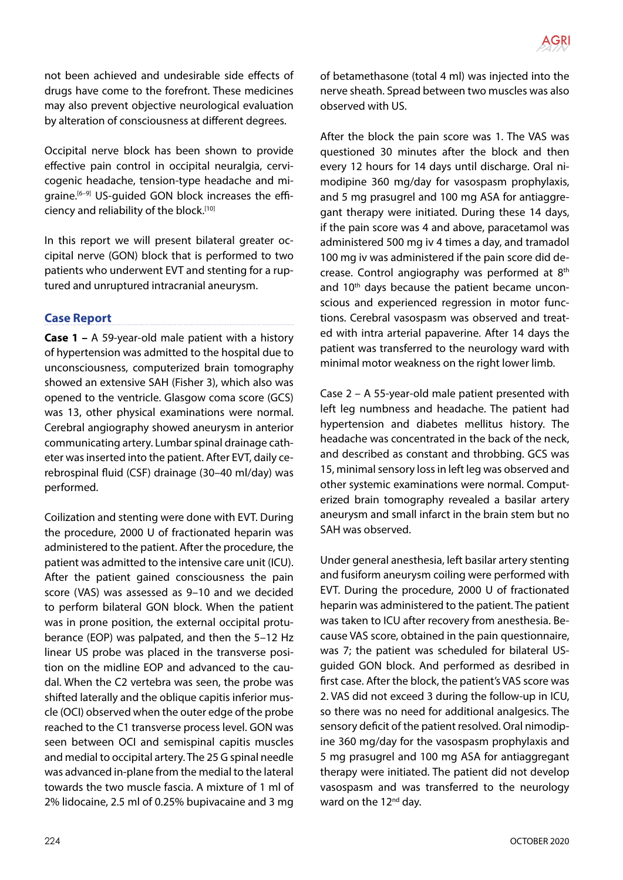not been achieved and undesirable side effects of drugs have come to the forefront. These medicines may also prevent objective neurological evaluation by alteration of consciousness at different degrees.

Occipital nerve block has been shown to provide effective pain control in occipital neuralgia, cervicogenic headache, tension-type headache and migraine.[6–9] US-guided GON block increases the efficiency and reliability of the block.<sup>[10]</sup>

In this report we will present bilateral greater occipital nerve (GON) block that is performed to two patients who underwent EVT and stenting for a ruptured and unruptured intracranial aneurysm.

# **Case Report**

**Case 1 –** A 59-year-old male patient with a history of hypertension was admitted to the hospital due to unconsciousness, computerized brain tomography showed an extensive SAH (Fisher 3), which also was opened to the ventricle. Glasgow coma score (GCS) was 13, other physical examinations were normal. Cerebral angiography showed aneurysm in anterior communicating artery. Lumbar spinal drainage catheter was inserted into the patient. After EVT, daily cerebrospinal fluid (CSF) drainage (30–40 ml/day) was performed.

Coilization and stenting were done with EVT. During the procedure, 2000 U of fractionated heparin was administered to the patient. After the procedure, the patient was admitted to the intensive care unit (ICU). After the patient gained consciousness the pain score (VAS) was assessed as 9–10 and we decided to perform bilateral GON block. When the patient was in prone position, the external occipital protuberance (EOP) was palpated, and then the 5–12 Hz linear US probe was placed in the transverse position on the midline EOP and advanced to the caudal. When the C2 vertebra was seen, the probe was shifted laterally and the oblique capitis inferior muscle (OCI) observed when the outer edge of the probe reached to the C1 transverse process level. GON was seen between OCI and semispinal capitis muscles and medial to occipital artery. The 25 G spinal needle was advanced in-plane from the medial to the lateral towards the two muscle fascia. A mixture of 1 ml of 2% lidocaine, 2.5 ml of 0.25% bupivacaine and 3 mg of betamethasone (total 4 ml) was injected into the nerve sheath. Spread between two muscles was also observed with US.

After the block the pain score was 1. The VAS was questioned 30 minutes after the block and then every 12 hours for 14 days until discharge. Oral nimodipine 360 mg/day for vasospasm prophylaxis, and 5 mg prasugrel and 100 mg ASA for antiaggregant therapy were initiated. During these 14 days, if the pain score was 4 and above, paracetamol was administered 500 mg iv 4 times a day, and tramadol 100 mg iv was administered if the pain score did decrease. Control angiography was performed at 8th and 10<sup>th</sup> days because the patient became unconscious and experienced regression in motor functions. Cerebral vasospasm was observed and treated with intra arterial papaverine. After 14 days the patient was transferred to the neurology ward with minimal motor weakness on the right lower limb.

Case 2 – A 55-year-old male patient presented with left leg numbness and headache. The patient had hypertension and diabetes mellitus history. The headache was concentrated in the back of the neck, and described as constant and throbbing. GCS was 15, minimal sensory loss in left leg was observed and other systemic examinations were normal. Computerized brain tomography revealed a basilar artery aneurysm and small infarct in the brain stem but no SAH was observed.

Under general anesthesia, left basilar artery stenting and fusiform aneurysm coiling were performed with EVT. During the procedure, 2000 U of fractionated heparin was administered to the patient. The patient was taken to ICU after recovery from anesthesia. Because VAS score, obtained in the pain questionnaire, was 7; the patient was scheduled for bilateral USguided GON block. And performed as desribed in first case. After the block, the patient's VAS score was 2. VAS did not exceed 3 during the follow-up in ICU, so there was no need for additional analgesics. The sensory deficit of the patient resolved. Oral nimodipine 360 mg/day for the vasospasm prophylaxis and 5 mg prasugrel and 100 mg ASA for antiaggregant therapy were initiated. The patient did not develop vasospasm and was transferred to the neurology ward on the 12<sup>nd</sup> day.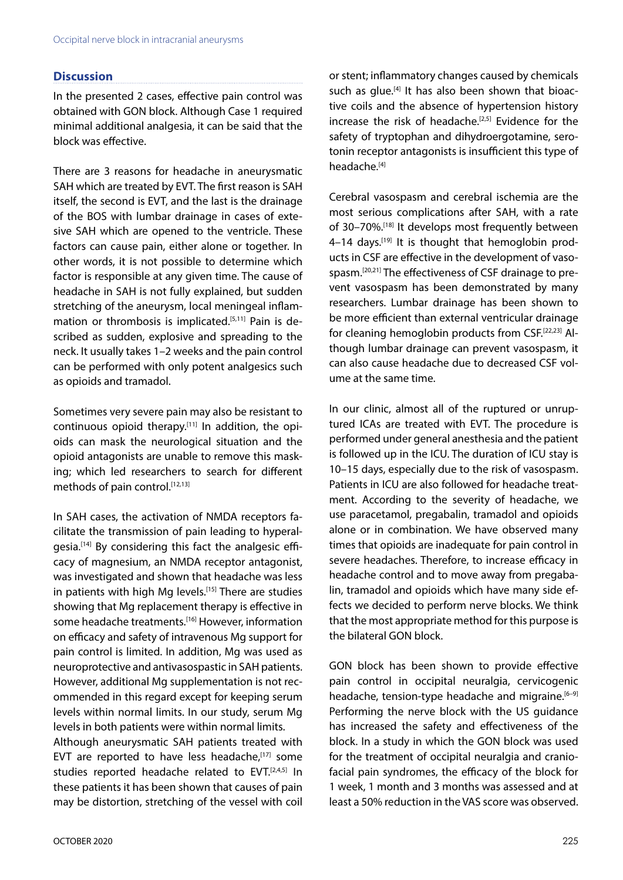# **Discussion**

In the presented 2 cases, effective pain control was obtained with GON block. Although Case 1 required minimal additional analgesia, it can be said that the block was effective.

There are 3 reasons for headache in aneurysmatic SAH which are treated by EVT. The first reason is SAH itself, the second is EVT, and the last is the drainage of the BOS with lumbar drainage in cases of extesive SAH which are opened to the ventricle. These factors can cause pain, either alone or together. In other words, it is not possible to determine which factor is responsible at any given time. The cause of headache in SAH is not fully explained, but sudden stretching of the aneurysm, local meningeal inflammation or thrombosis is implicated.<sup>[5,11]</sup> Pain is described as sudden, explosive and spreading to the neck. It usually takes 1–2 weeks and the pain control can be performed with only potent analgesics such as opioids and tramadol.

Sometimes very severe pain may also be resistant to continuous opioid therapy.[11] In addition, the opioids can mask the neurological situation and the opioid antagonists are unable to remove this masking; which led researchers to search for different methods of pain control.[12,13]

In SAH cases, the activation of NMDA receptors facilitate the transmission of pain leading to hyperalgesia.[14] By considering this fact the analgesic efficacy of magnesium, an NMDA receptor antagonist, was investigated and shown that headache was less in patients with high Mg levels.<sup>[15]</sup> There are studies showing that Mg replacement therapy is effective in some headache treatments.[16] However, information on efficacy and safety of intravenous Mg support for pain control is limited. In addition, Mg was used as neuroprotective and antivasospastic in SAH patients. However, additional Mg supplementation is not recommended in this regard except for keeping serum levels within normal limits. In our study, serum Mg levels in both patients were within normal limits.

Although aneurysmatic SAH patients treated with EVT are reported to have less headache, $[17]$  some studies reported headache related to EVT.<sup>[2,4,5]</sup> In these patients it has been shown that causes of pain may be distortion, stretching of the vessel with coil or stent; inflammatory changes caused by chemicals such as glue.<sup>[4]</sup> It has also been shown that bioactive coils and the absence of hypertension history increase the risk of headache.<sup>[2,5]</sup> Evidence for the safety of tryptophan and dihydroergotamine, serotonin receptor antagonists is insufficient this type of headache.[4]

Cerebral vasospasm and cerebral ischemia are the most serious complications after SAH, with a rate of 30–70%.[18] It develops most frequently between 4-14 days.<sup>[19]</sup> It is thought that hemoglobin products in CSF are effective in the development of vasospasm.[20,21] The effectiveness of CSF drainage to prevent vasospasm has been demonstrated by many researchers. Lumbar drainage has been shown to be more efficient than external ventricular drainage for cleaning hemoglobin products from CSF.[22,23] Although lumbar drainage can prevent vasospasm, it can also cause headache due to decreased CSF volume at the same time.

In our clinic, almost all of the ruptured or unruptured ICAs are treated with EVT. The procedure is performed under general anesthesia and the patient is followed up in the ICU. The duration of ICU stay is 10–15 days, especially due to the risk of vasospasm. Patients in ICU are also followed for headache treatment. According to the severity of headache, we use paracetamol, pregabalin, tramadol and opioids alone or in combination. We have observed many times that opioids are inadequate for pain control in severe headaches. Therefore, to increase efficacy in headache control and to move away from pregabalin, tramadol and opioids which have many side effects we decided to perform nerve blocks. We think that the most appropriate method for this purpose is the bilateral GON block.

GON block has been shown to provide effective pain control in occipital neuralgia, cervicogenic headache, tension-type headache and migraine.<sup>[6-9]</sup> Performing the nerve block with the US guidance has increased the safety and effectiveness of the block. In a study in which the GON block was used for the treatment of occipital neuralgia and craniofacial pain syndromes, the efficacy of the block for 1 week, 1 month and 3 months was assessed and at least a 50% reduction in the VAS score was observed.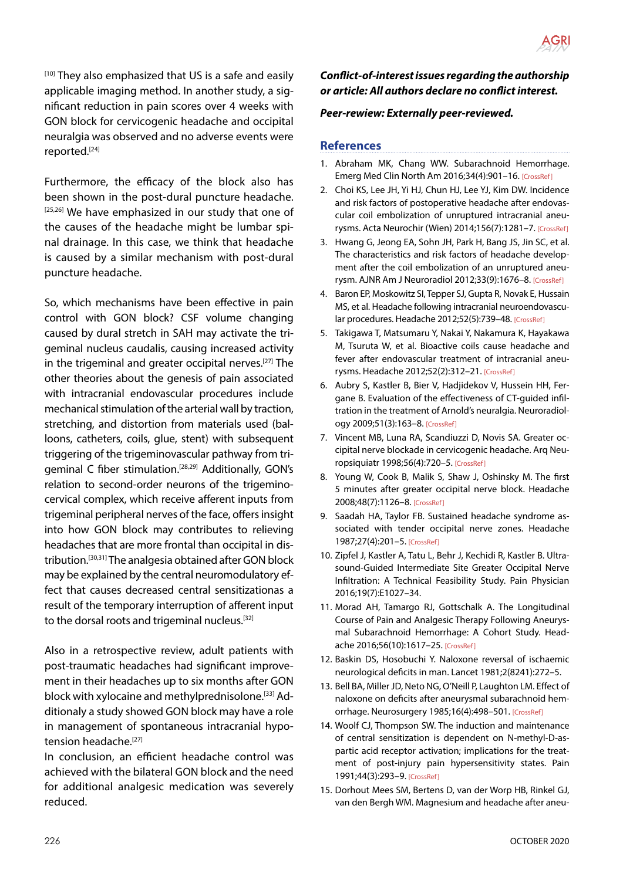[10] They also emphasized that US is a safe and easily applicable imaging method. In another study, a significant reduction in pain scores over 4 weeks with GON block for cervicogenic headache and occipital neuralgia was observed and no adverse events were reported.[24]

Furthermore, the efficacy of the block also has been shown in the post-dural puncture headache. [25,26] We have emphasized in our study that one of the causes of the headache might be lumbar spinal drainage. In this case, we think that headache is caused by a similar mechanism with post-dural puncture headache.

So, which mechanisms have been effective in pain control with GON block? CSF volume changing caused by dural stretch in SAH may activate the trigeminal nucleus caudalis, causing increased activity in the trigeminal and greater occipital nerves.[27] The other theories about the genesis of pain associated with intracranial endovascular procedures include mechanical stimulation of the arterial wall by traction, stretching, and distortion from materials used (balloons, catheters, coils, glue, stent) with subsequent triggering of the trigeminovascular pathway from trigeminal C fiber stimulation.[28,29] Additionally, GON's relation to second-order neurons of the trigeminocervical complex, which receive afferent inputs from trigeminal peripheral nerves of the face, offers insight into how GON block may contributes to relieving headaches that are more frontal than occipital in distribution.[30,31] The analgesia obtained after GON block may be explained by the central neuromodulatory effect that causes decreased central sensitizationas a result of the temporary interruption of afferent input to the dorsal roots and trigeminal nucleus.[32]

Also in a retrospective review, adult patients with post-traumatic headaches had significant improvement in their headaches up to six months after GON block with xylocaine and methylprednisolone.<sup>[33]</sup> Additionaly a study showed GON block may have a role in management of spontaneous intracranial hypotension headache.<sup>[27]</sup>

In conclusion, an efficient headache control was achieved with the bilateral GON block and the need for additional analgesic medication was severely reduced.

# *Conflict-of-interest issues regarding the authorship or article: All authors declare no conflict interest.*

PAIN **AGRI** 

## *Peer-rewiew: Externally peer-reviewed.*

## **References**

- 1. Abraham MK, Chang WW. Subarachnoid Hemorrhage. Emerg Med Clin North Am 2016;34(4):901–[16. \[CrossRef\]](https://doi.org/10.1016/j.emc.2016.06.011)
- 2. Choi KS, Lee JH, Yi HJ, Chun HJ, Lee YJ, Kim DW. Incidence and risk factors of postoperative headache after endovascular coil embolization of unruptured intracranial aneurysms. Acta Neurochir (Wien) 2014;156(7):1281–[7. \[CrossRef\]](https://doi.org/10.1007/s00701-014-2095-8)
- 3. Hwang G, Jeong EA, Sohn JH, Park H, Bang JS, Jin SC, et al. The characteristics and risk factors of headache development after the coil embolization of an unruptured aneurysm. AJNR Am J Neuroradiol 2012;33(9):1676–8[. \[CrossRef\]](https://doi.org/10.3174/ajnr.A3018)
- 4. Baron EP, Moskowitz SI, Tepper SJ, Gupta R, Novak E, Hussain MS, et al. Headache following intracranial neuroendovascular procedures. Headache 2012;52(5):739–48[. \[CrossRef\]](https://doi.org/10.1111/j.1526-4610.2011.02059.x)
- 5. Takigawa T, Matsumaru Y, Nakai Y, Nakamura K, Hayakawa M, Tsuruta W, et al. Bioactive coils cause headache and fever after endovascular treatment of intracranial aneurysms. Headache 2012;52(2):312–21[. \[CrossRef\]](https://doi.org/10.1111/j.1526-4610.2011.01964.x)
- 6. Aubry S, Kastler B, Bier V, Hadjidekov V, Hussein HH, Fergane B. Evaluation of the effectiveness of CT-guided infiltration in the treatment of Arnold's neuralgia. Neuroradiology 2009;51(3):163–8[. \[CrossRef\]](https://doi.org/10.1007/s00234-008-0480-9)
- 7. Vincent MB, Luna RA, Scandiuzzi D, Novis SA. Greater occipital nerve blockade in cervicogenic headache. Arq Neuropsiquiatr 1998;56(4):720–[5. \[CrossRef\]](https://doi.org/10.1590/S0004-282X1998000500004)
- 8. Young W, Cook B, Malik S, Shaw J, Oshinsky M. The first 5 minutes after greater occipital nerve block. Headache 2008;48(7):1126–8. [\[CrossRef\]](https://doi.org/10.1111/j.1526-4610.2008.01146.x)
- 9. Saadah HA, Taylor FB. Sustained headache syndrome associated with tender occipital nerve zones. Headache 1987;27(4):201–5[. \[CrossRef\]](https://doi.org/10.1111/j.1526-4610.1987.hed2704201.x)
- 10. Zipfel J, Kastler A, Tatu L, Behr J, Kechidi R, Kastler B. Ultrasound-Guided Intermediate Site Greater Occipital Nerve Infiltration: A Technical Feasibility Study. Pain Physician 2016;19(7):E1027–34.
- 11. Morad AH, Tamargo RJ, Gottschalk A. The Longitudinal Course of Pain and Analgesic Therapy Following Aneurysmal Subarachnoid Hemorrhage: A Cohort Study. Headache 2016;56(10):1617–25. [\[CrossRef\]](https://doi.org/10.1111/head.12908)
- 12. Baskin DS, Hosobuchi Y. Naloxone reversal of ischaemic neurological deficits in man. Lancet 1981[;2\(8241\):272–5.](https://doi.org/10.1016/S0140-6736(81)90524-9)
- 13. Bell BA, Miller JD, Neto NG, O'Neill P, Laughton LM. Effect of naloxone on deficits after aneurysmal subarachnoid hemorrhage. Neurosurgery 1985;16(4):498–501[. \[CrossRef\]](https://doi.org/10.1227/00006123-198504000-00011)
- 14. Woolf CJ, Thompson SW. The induction and maintenance of central sensitization is dependent on N-methyl-D-aspartic acid receptor activation; implications for the treatment of post-injury pain hypersensitivity states. Pain 1991;44(3):293–[9. \[CrossRef\]](https://doi.org/10.1016/0304-3959(91)90100-C)
- 15. Dorhout Mees SM, Bertens D, van der Worp HB, Rinkel GJ, van den Bergh WM. Magnesium and headache after aneu-